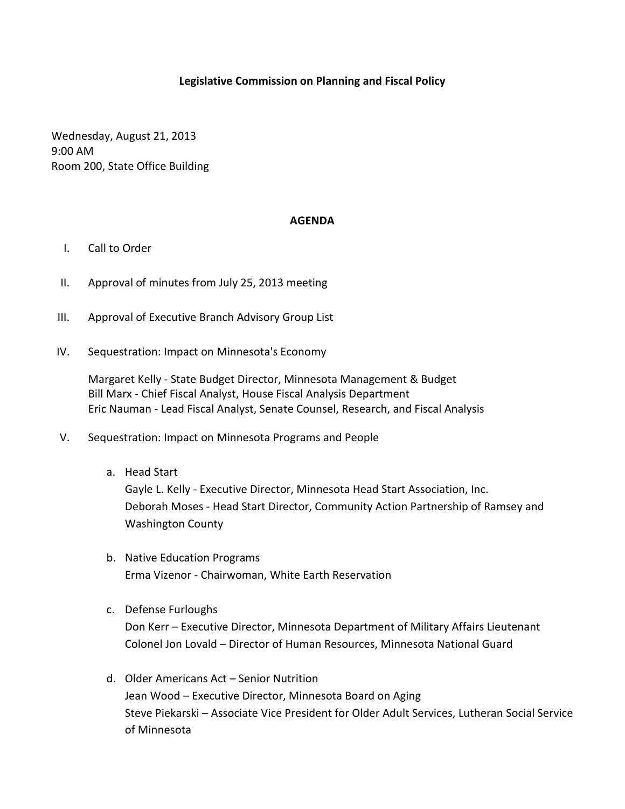## **Legislative Commission on Planning and Fiscal Policy**

Wednesday, August 21, 2013 9:00 AM Room 200, State Office Building

## **AGENDA**

- I. Call to Order
- II. Approval of minutes from July 25, 2013 meeting
- III. Approval of Executive Branch Advisory Group List
- IV. Sequestration: Impact on Minnesota's Economy

Margaret Kelly - State Budget Director, Minnesota Management & Budget Bill Marx - Chief Fiscal Analyst, House Fiscal Analysis Department Eric Nauman - Lead Fiscal Analyst, Senate Counsel, Research, and Fiscal Analysis

- V. Sequestration: Impact on Minnesota Programs and People
	- a. Head Start

Gayle L. Kelly - Executive Director, Minnesota Head Start Association, Inc. Deborah Moses - Head Start Director, Community Action Partnership of Ramsey and Washington County

- b. Native Education Programs Erma Vizenor - Chairwoman, White Earth Reservation
- c. Defense Furloughs Don Kerr – Executive Director, Minnesota Department of Military Affairs Lieutenant Colonel Jon Lovald – Director of Human Resources, Minnesota National Guard
- d. Older Americans Act Senior Nutrition Jean Wood – Executive Director, Minnesota Board on Aging Steve Piekarski – Associate Vice President for Older Adult Services, Lutheran Social Service of Minnesota